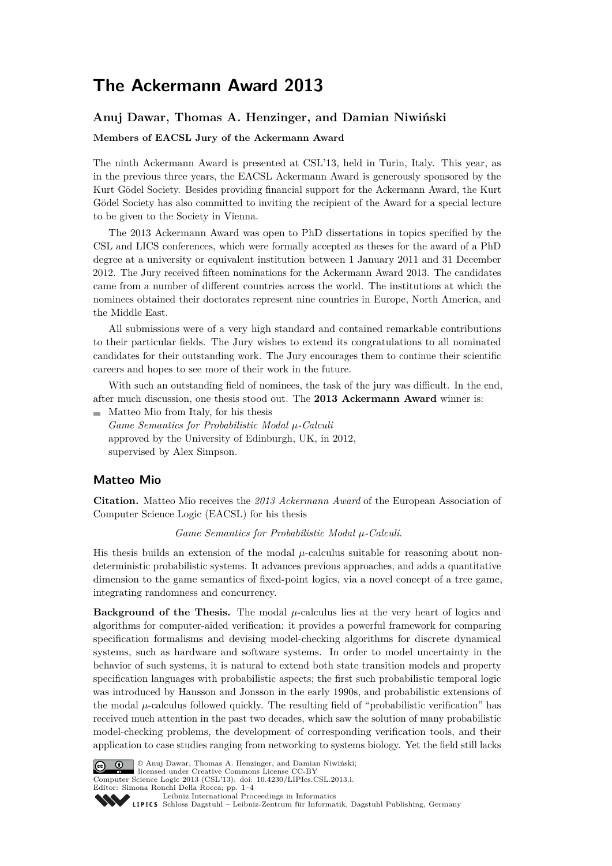# **The Ackermann Award 2013**

## **Anuj Dawar, Thomas A. Henzinger, and Damian Niwiński**

#### **Members of EACSL Jury of the Ackermann Award**

The ninth Ackermann Award is presented at CSL'13, held in Turin, Italy. This year, as in the previous three years, the EACSL Ackermann Award is generously sponsored by the Kurt Gödel Society. Besides providing financial support for the Ackermann Award, the Kurt Gödel Society has also committed to inviting the recipient of the Award for a special lecture to be given to the Society in Vienna.

The 2013 Ackermann Award was open to PhD dissertations in topics specified by the CSL and LICS conferences, which were formally accepted as theses for the award of a PhD degree at a university or equivalent institution between 1 January 2011 and 31 December 2012. The Jury received fifteen nominations for the Ackermann Award 2013. The candidates came from a number of different countries across the world. The institutions at which the nominees obtained their doctorates represent nine countries in Europe, North America, and the Middle East.

All submissions were of a very high standard and contained remarkable contributions to their particular fields. The Jury wishes to extend its congratulations to all nominated candidates for their outstanding work. The Jury encourages them to continue their scientific careers and hopes to see more of their work in the future.

With such an outstanding field of nominees, the task of the jury was difficult. In the end, after much discussion, one thesis stood out. The **2013 Ackermann Award** winner is:

 $\blacksquare$  Matteo Mio from Italy, for his thesis *Game Semantics for Probabilistic Modal µ-Calculi* approved by the University of Edinburgh, UK, in 2012, supervised by Alex Simpson.

## **Matteo Mio**

**Citation.** Matteo Mio receives the *2013 Ackermann Award* of the European Association of Computer Science Logic (EACSL) for his thesis

#### *Game Semantics for Probabilistic Modal µ-Calculi*.

His thesis builds an extension of the modal  $\mu$ -calculus suitable for reasoning about nondeterministic probabilistic systems. It advances previous approaches, and adds a quantitative dimension to the game semantics of fixed-point logics, via a novel concept of a tree game, integrating randomness and concurrency.

**Background of the Thesis.** The modal  $\mu$ -calculus lies at the very heart of logics and algorithms for computer-aided verification: it provides a powerful framework for comparing specification formalisms and devising model-checking algorithms for discrete dynamical systems, such as hardware and software systems. In order to model uncertainty in the behavior of such systems, it is natural to extend both state transition models and property specification languages with probabilistic aspects; the first such probabilistic temporal logic was introduced by Hansson and Jonsson in the early 1990s, and probabilistic extensions of the modal *µ*-calculus followed quickly. The resulting field of "probabilistic verification" has received much attention in the past two decades, which saw the solution of many probabilistic model-checking problems, the development of corresponding verification tools, and their application to case studies ranging from networking to systems biology. Yet the field still lacks



© Anuj Dawar, Thomas A. Henzinger, and Damian Niwiński; licensed under Creative Commons License CC-BY Computer Science Logic 2013 (CSL'13). [doi: 10.4230/LIPIcs.CSL.2013.i.](http://dx.doi.org/10.4230/LIPIcs.CSL.2013.i)

Editor: Simona Ronchi Della Rocca; pp. 1[–4](#page-3-0)

[Leibniz International Proceedings in Informatics](http://www.dagstuhl.de/lipics/) Leibniz International Froceedings in miormatics<br>
LIPICS [Schloss Dagstuhl – Leibniz-Zentrum für Informatik, Dagstuhl Publishing, Germany](http://www.dagstuhl.de)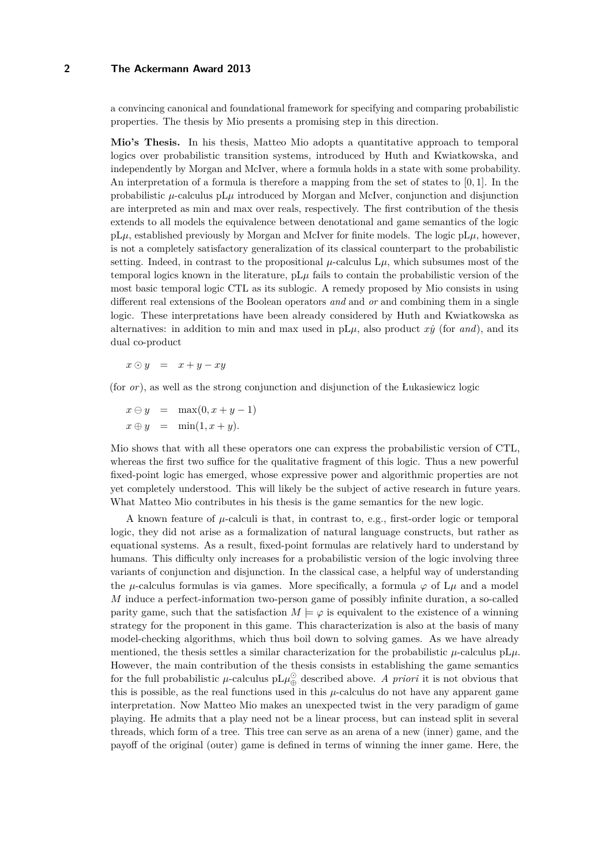## **2 The Ackermann Award 2013**

a convincing canonical and foundational framework for specifying and comparing probabilistic properties. The thesis by Mio presents a promising step in this direction.

**Mio's Thesis.** In his thesis, Matteo Mio adopts a quantitative approach to temporal logics over probabilistic transition systems, introduced by Huth and Kwiatkowska, and independently by Morgan and McIver, where a formula holds in a state with some probability. An interpretation of a formula is therefore a mapping from the set of states to [0*,* 1]. In the probabilistic  $\mu$ -calculus pL $\mu$  introduced by Morgan and McIver, conjunction and disjunction are interpreted as min and max over reals, respectively. The first contribution of the thesis extends to all models the equivalence between denotational and game semantics of the logic  $pL\mu$ , established previously by Morgan and McIver for finite models. The logic  $pL\mu$ , however, is not a completely satisfactory generalization of its classical counterpart to the probabilistic setting. Indeed, in contrast to the propositional  $\mu$ -calculus  $L\mu$ , which subsumes most of the temporal logics known in the literature,  $pL\mu$  fails to contain the probabilistic version of the most basic temporal logic CTL as its sublogic. A remedy proposed by Mio consists in using different real extensions of the Boolean operators *and* and *or* and combining them in a single logic. These interpretations have been already considered by Huth and Kwiatkowska as alternatives: in addition to min and max used in  $pL\mu$ , also product  $x\dot{y}$  (for and), and its dual co-product

 $x \odot y = x + y - xy$ 

(for *or*), as well as the strong conjunction and disjunction of the Łukasiewicz logic

 $x \ominus y = \max(0, x + y - 1)$  $x \oplus y = \min(1, x + y)$ .

Mio shows that with all these operators one can express the probabilistic version of CTL, whereas the first two suffice for the qualitative fragment of this logic. Thus a new powerful fixed-point logic has emerged, whose expressive power and algorithmic properties are not yet completely understood. This will likely be the subject of active research in future years. What Matteo Mio contributes in his thesis is the game semantics for the new logic.

A known feature of  $\mu$ -calculi is that, in contrast to, e.g., first-order logic or temporal logic, they did not arise as a formalization of natural language constructs, but rather as equational systems. As a result, fixed-point formulas are relatively hard to understand by humans. This difficulty only increases for a probabilistic version of the logic involving three variants of conjunction and disjunction. In the classical case, a helpful way of understanding the *µ*-calculus formulas is via games. More specifically, a formula  $\varphi$  of  $L\mu$  and a model *M* induce a perfect-information two-person game of possibly infinite duration, a so-called parity game, such that the satisfaction  $M \models \varphi$  is equivalent to the existence of a winning strategy for the proponent in this game. This characterization is also at the basis of many model-checking algorithms, which thus boil down to solving games. As we have already mentioned, the thesis settles a similar characterization for the probabilistic  $\mu$ -calculus pL $\mu$ . However, the main contribution of the thesis consists in establishing the game semantics for the full probabilistic  $\mu$ -calculus  $pL\mu_{\bigoplus}^{\odot}$  described above. A *priori* it is not obvious that this is possible, as the real functions used in this  $\mu$ -calculus do not have any apparent game interpretation. Now Matteo Mio makes an unexpected twist in the very paradigm of game playing. He admits that a play need not be a linear process, but can instead split in several threads, which form of a tree. This tree can serve as an arena of a new (inner) game, and the payoff of the original (outer) game is defined in terms of winning the inner game. Here, the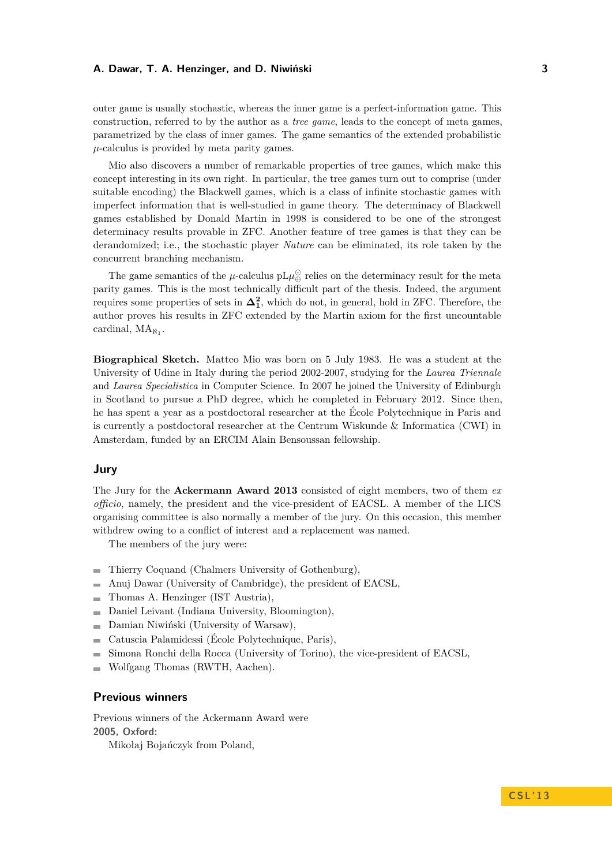#### **A. Dawar, T. A. Henzinger, and D. Niwiński 3**

outer game is usually stochastic, whereas the inner game is a perfect-information game. This construction, referred to by the author as a *tree game*, leads to the concept of meta games, parametrized by the class of inner games. The game semantics of the extended probabilistic  $\mu$ -calculus is provided by meta parity games.

Mio also discovers a number of remarkable properties of tree games, which make this concept interesting in its own right. In particular, the tree games turn out to comprise (under suitable encoding) the Blackwell games, which is a class of infinite stochastic games with imperfect information that is well-studied in game theory. The determinacy of Blackwell games established by Donald Martin in 1998 is considered to be one of the strongest determinacy results provable in ZFC. Another feature of tree games is that they can be derandomized; i.e., the stochastic player *Nature* can be eliminated, its role taken by the concurrent branching mechanism.

The game semantics of the  $\mu$ -calculus pL $\mu_{\bigoplus}^{\bigodot}$  relies on the determinacy result for the meta parity games. This is the most technically difficult part of the thesis. Indeed, the argument requires some properties of sets in  $\Delta_1^2$ , which do not, in general, hold in ZFC. Therefore, the author proves his results in ZFC extended by the Martin axiom for the first uncountable cardinal,  $MA_{\aleph_1}$ .

**Biographical Sketch.** Matteo Mio was born on 5 July 1983. He was a student at the University of Udine in Italy during the period 2002-2007, studying for the *Laurea Triennale* and *Laurea Specialistica* in Computer Science. In 2007 he joined the University of Edinburgh in Scotland to pursue a PhD degree, which he completed in February 2012. Since then, he has spent a year as a postdoctoral researcher at the École Polytechnique in Paris and is currently a postdoctoral researcher at the Centrum Wiskunde & Informatica (CWI) in Amsterdam, funded by an ERCIM Alain Bensoussan fellowship.

#### **Jury**

The Jury for the **Ackermann Award 2013** consisted of eight members, two of them *ex officio*, namely, the president and the vice-president of EACSL. A member of the LICS organising committee is also normally a member of the jury. On this occasion, this member withdrew owing to a conflict of interest and a replacement was named.

The members of the jury were:

- Thierry Coquand (Chalmers University of Gothenburg),  $\sim$
- Anuj Dawar (University of Cambridge), the president of EACSL,  $\rightarrow$
- Thomas A. Henzinger (IST Austria),  $\sim$
- Daniel Leivant (Indiana University, Bloomington),  $\blacksquare$
- Damian Niwiński (University of Warsaw),  $\overline{a}$
- Catuscia Palamidessi (École Polytechnique, Paris),  $\overline{\phantom{a}}$
- Simona Ronchi della Rocca (University of Torino), the vice-president of EACSL, ÷
- Wolfgang Thomas (RWTH, Aachen).

### **Previous winners**

Previous winners of the Ackermann Award were **2005, Oxford:** Mikołaj Bojańczyk from Poland,